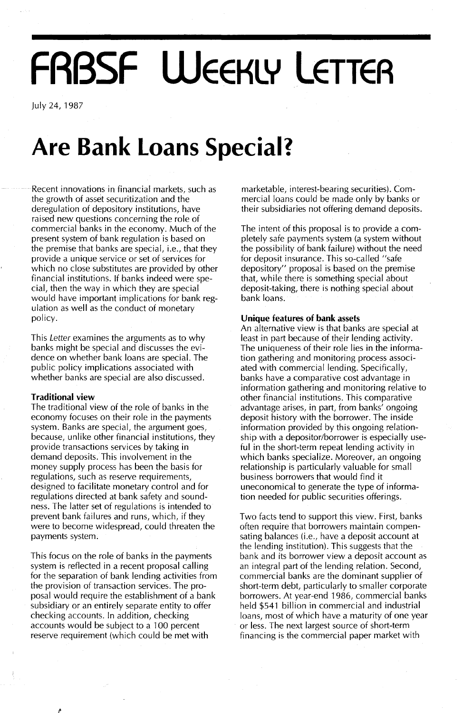# **FRBSF WEEKLY lETTEA**

July 24, 1987

## **Are Bank Loans Special?**

Recent innovations in financial markets, such as the growth of asset securitization and the deregulation of depository institutions, have raised new questions concerning the role of commercial banks in the economy. Much of the present system of bank regulation is based on the premise that banks are special, i.e., that they provide a unique service or set of services for which no close substitutes are provided by other financial institutions. If banks indeed were special, then the way in which they are special would have important implications for bank regulation as well as the conduct of monetary policy.

This Letter examines the arguments as to why banks might be special and discusses the evidence on whether bank loans are special. The public policy implications associated with whether banks are special are also discussed.

#### **Traditional view**

The traditional view of the role of banks in the economy focuses on their role in the payments system. Banks are special, the argument goes, because, unlike other financial institutions, they provide transactions services by taking in demand deposits. This involvement in the money supply process has been the basis for regulations, such as reserve requirements, designed to facilitate monetary control and for regulations directed at bank safety and soundness. The latter set of regulations is intended to prevent bank failures and runs, which, if they were to become widespread, could threaten the payments system.

This focus on the role of banks in the payments system is reflected in a recent proposal calling for the separation of bank lending activities from the provision of transaction services. The proposal would require the establishment of a bank subsidiary or an entirely separate entity to offer checking accounts. In addition, checking accounts would be subject to a 100 percent reserve requirement (which could be met with

marketable, interest-bearing securities). Commercial loans could be made only by banks or their subsidiaries not offering demand deposits.

The intent of this proposal is to provide a completely safe payments system (a system without the possibility of bank failure) without the need for deposit insurance. This so-called "safe depository" proposal is based on the premise that, while there is something special about deposit-taking, there is nothing special about bank loans.

#### **Unique features of bank** assets

An alternative view is that banks are special at least in part because of their lending activity. The uniqueness of their role lies in the information gathering and monitoring process associated with commercial lending. Specifically, banks have a comparative cost advantage in information gathering and monitoring relative to other financial institutions. This comparative advantage arises, in part, from banks' ongoing deposit history with the borrower. The inside information provided by this ongoing relationship with a depositor/borrower is especially useful in the short-term repeat lending activity in which banks specialize. Moreover, an ongoing relationship is particularly valuable for small business borrowers that would find it uneconomical to generate the type of information needed for public securities offerings.

Two facts tend to support this view. First, banks often require that borrowers maintain compensating balances (i.e., have a deposit account at the lending institution). This suggests that the bank and its borrower view a deposit account as an integral part of the lending relation. Second, commercial banks are the dominant supplier of short-term debt, particularly to smaller corporate borrowers. At year-end 1986, commercial banks held \$541 billion in commercial and industrial loans, most of which have a maturity of one year or less. The next largest source of short-term financing is the commercial paper market with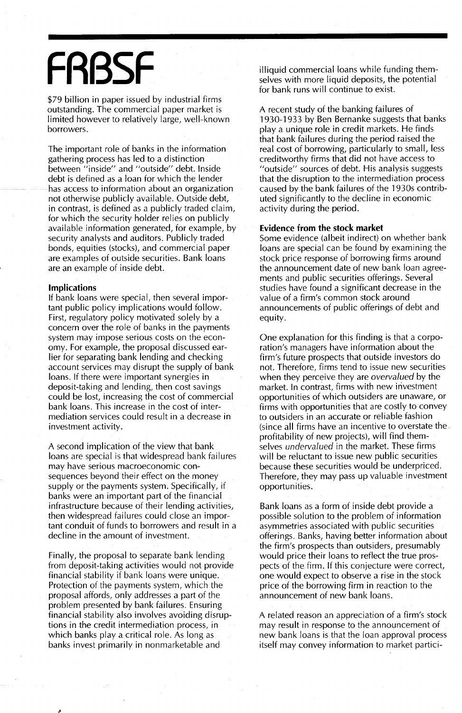# **FRBSF**

\$79 billion in paper issued by industrial firms outstanding. The commercial paper market is limited however to relatively large, well-known borrowers.

The important role of banks in the information gathering process has led to a distinction between "inside" and "outside" debt. Inside debt is defined as a loan for which the lender has access to information about an organization not otherwise publicly available. Outside debt, in contrast, is defined as a publicly traded claim, for which the security holder relies on publicly available information generated, for example, by security analysts and auditors. Publicly traded bonds, equities (stocks), and commercial paper are examples of outside securities. Bank loans are an example of inside debt.

#### **Implications**

If bank loans were special, then several important public policy implications would follow. First, regulatory policy motivated solely by a concern over the role of banks in the payments system may impose serious costs on the economy. For example, the proposal discussed earlier for separating bank lending and checking account services may disrupt the supply of bank loans. If there were important synergies in deposit-taking and lending, then cost savings could be lost, increasing the cost of commercial bank loans. This increase in the cost of intermediation services could result in a decrease in investment activity.

A second implication of the view that bank loans are special is that widespread bank failures may have serious macroeconomic consequences beyond their effect on the money supply or the payments system. Specifically, if banks were an important part of the financial infrastructure because of their lending activities, then widespread failures could close an important conduit of funds to borrowers and result in a decline in the amount of investment.

Finally, the proposal to separate bank lending from deposit-taking activities would not provide financial stability if bank loans were unique. Protection of the payments system, which the proposal affords, only addresses a part of the problem presented by bank failures. Ensuring financial stability also involves avoiding disruptions in the credit intermediation process, in which banks play a critical role. As long as banks invest primarily in nonmarketable and

illiquid commercial loans while funding themselves with more liquid deposits, the potential for bank runs will continue to exist.

A recent study of the banking failures of 1930-1933 by Ben Bernanke suggests that banks play a unique role in credit markets. He finds that bank failures during the period raised the real cost of borrowing, particularly to small, less creditworthy firms that did not have access to "outside" sources of debt. His analysis suggests that the disruption to the intermediation process caused by the bank failures of the 1930s contributed significantly to the decline in economic activity during the period.

#### **Evidence from the stock market**

Some evidence (albeit indirect) on whether bank loans are special can be found by examining the stock price response of borrowing firms around the announcement date of new bank loan agreements and public securities offerings. Several studies have found a significant decrease in the value of a firm's common stock around announcements of public offerings of debt and equity.

One explanation for this finding is that a corporation's managers have information about the firm's future prospects that outside investors do not. Therefore, firms tend to issue new securities when they perceive they are *overvalued* by the market. In contrast, firms with new investment opportunities of which outsiders are unaware, or firms with opportunities that are costly to convey to outsiders in an accurate or reliable fashion (since all firms have an incentive to overstate the profitability of new projects), will find themselves *undervalued* in the market. These firms will be reluctant to issue new public securities because these securities would be underpriced. Therefore, they may pass up valuable investment opportunities.

Bank loans as a form of inside debt provide a possible solution to the problem of information asymmetries associated with public securities offerings. Banks, having better information about the firm's prospects than outsiders, presumably would price their loans to reflect the true prospects of the firm. If this conjecture were correct, one would expect to observe a rise in the stock price of the borrowing firm in reaction to the announcement of new bank loans.

A related reason an appreciation of a firm's stock may result in response to the announcement of new bank loans is that the loan approval process itself may convey information to market partici-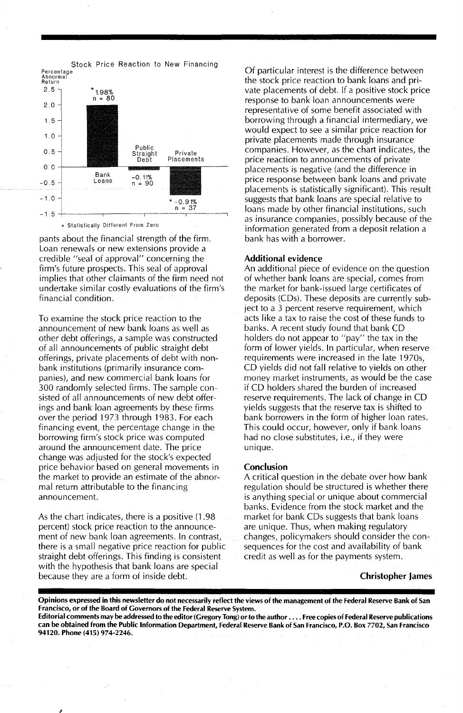

pants about the financial strength of the firm. Loan renewals or new extensions provide a credible "seal of approval" concerning the firm's future prospects. This seal of approval implies that other claimants of the firm need not undertake similar costly evaluations of the firm's financial condition.

To examine the stock price reaction to the announcement of new bank loans as well as other debt offerings, a sample was constructed of all announcements of public straight debt offerings, private placements of debt with nonbank institutions (primarily insurance companies), and new commercial bank loans for 300 randomly selected firms. The sample consisted of all announcements of new debt offerings and bank loan agreements by these firms over the period 1973 through 1983. For each financing event, the percentage change in the borrowing firm's stock price was computed around the announcement date. The price change was adjusted for the stock's expected price behavior based on general movements in the market to provide an estimate of the abnormal return attributable to the financing announcement.

As the chart indicates, there is a positive (1.98 percent) stock price reaction to the announcement of new bank loan agreements. In contrast, there is a small negative price reaction for public straight debt offerings. This finding is consistent with the hypothesis that bank loans are special because they are a form of inside debt.

Of particular interest is the difference between the stock price reaction to bank loans and private placements of debt. If a positive stock price response to bank loan announcements were representative of some benefit associated with borrowing through a financial intermediary, we would expect to see a similar price reaction for private placements made through insurance companies. However, as the chart indicates, the price reaction to announcements of private placements is negative (and the difference in price response between bank loans and private placements is statistically significant). This result suggests that bank loans are special relative to loans made by other financial institutions, such as insurance companies, possibly because of the information generated from a deposit relation a bank has with a borrower.

#### Additional evidence

An additional piece of evidence on the question of whether bank loans are special, comes from the market for bank-issued large certificates of deposits (CDs). These deposits are currently subject to a 3 percent reserve requirement, which acts like a tax to raise the cost of these funds to banks. A recent study found that bank CD holders do not appear to "pay" the tax in the form of lower yields. In particular, when reserve requirements were increased in the late 1970s, CD yields did not fall relative to yields on other money market instruments, as would be the case if CD holders shared the burden of increased reserve requirements. The lack of change in CD yields suggests that the reserve tax is shifted to bank borrowers in the form of higher loan rates. This could occur, however, only if bank loans had no close substitutes, i.e., if they were unique.

#### Conclusion

A critical question in the debate over how bank regulation should be structured is whether there is anything special or unique about commercial banks. Evidence from the stock market and the market for bank CDs suggests that bank loans are unique. Thus, when making regulatory changes, policymakers should consider the consequences for the cost and availability of bank credit as well as for the payments system.

#### Christopher James

Opinions expressed in this newsletter do not necessarily reflect the views of the management of the Federal Reserve Bank of San Francisco, or of the Board of Governors of the Federal Reserve System.

Editorial comments may be addressed to the editor (Gregory Tong) orto the author .... Free copies of Federal Reserve publications can be obtained from the Public Information Department, Federal Reserve Bank of San Francisco, P.O. Box 7702, San Francisco 94120. Phone (415) 974-2246.